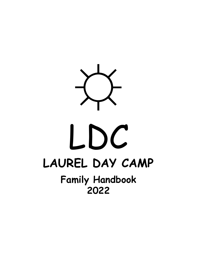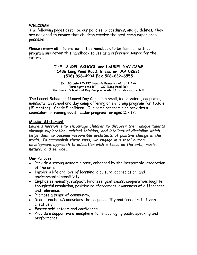### **WELCOME**

The following pages describe our policies, procedures, and guidelines. They are designed to ensure that children receive the best camp experience possible!

Please review all information in this handbook to be familiar with our program and retain this handbook to use as a reference source for the future.

#### **THE LAUREL SCHOOL and LAUREL DAY CAMP 1436 Long Pond Road, Brewster, MA 02631 (508) 896-4934 Fax 508-632-6555**

**Exit 85 onto RT-137 towards Brewster off of US-6 Turn right onto RT - 137 (Long Pond Rd) The Laurel School and Day Camp is located 1.3 miles on the left**

The Laurel School and Laurel Day Camp is a small, independent, nonprofit, nonsectarian school and day camp offering an enriching program for Toddler (15 months) – Grade 5 children. Our camp program also provides a counselor-in-training youth leader program for ages 11 – 17.

### **Mission Statement**

*Laurel's mission is to encourage children to discover their unique talents through exploration, critical thinking, and intellectual discipline which helps them to become responsible architects of positive change in the world. To accomplish these ends, we engage in a total human development approach to education with a focus on the arts, music, nature, and service.*

#### **Our Purpose**

- Provide a strong academic base, enhanced by the inseparable integration of the arts.
- Inspire a lifelong love of learning, a cultural appreciation, and environmental sensitivity.
- Emphasize honesty, respect, kindness, gentleness, cooperation, laughter, thoughtful resolution, positive reinforcement, awareness of differences and tolerance.
- Promote a sense of community.
- Grant teachers/counselors the responsibility and freedom to teach creatively.
- Foster self-esteem and confidence.
- Provide a supportive atmosphere for encouraging public speaking and performance.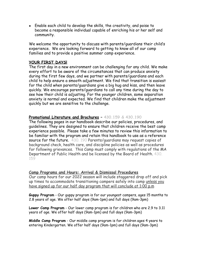• Enable each child to develop the skills, the creativity, and poise to become a responsible individual capable of enriching his or her self and community.

We welcome the opportunity to discuss with parents/quardians their child's experience. We are looking forward to getting to know all of our camp families and to provide a positive summer camp experience.

### **YOUR FIRST DAYS!**

The first day in a new environment can be challenging for any child. We make every effort to be aware of the circumstances that can produce anxiety during the first few days, and we partner with parents/guardians and each child to help ensure a smooth adjustment. We find that transition is easiest for the child when parents/guardians give a big hug and kiss, and then leave quickly. We encourage parents/guardians to call any time during the day to see how their child is adjusting. For the younger children, some separation anxiety is normal and expected. We find that children make the adjustment quickly but we are sensitive to the challenge.

### **Promotional Literature and Brochures – 430.159 & 430.190**

The following pages in our handbook describe our policies, procedures, and guidelines. They are designed to ensure that children receive the best camp experience possible. Please take a few minutes to review this information to be familiar with the program and retain this handbook to use as a reference source for the future. 430, 190 Parents/guardians may request copies of background check, health care, and discipline policies as well as procedures for following grievances. This Camp must comply with regulations of the MA Department of Public Health and be licensed by the Board of Health. 430. 159

#### **Camp Programs and Hours: Arrival & Dismissal Procedures**

Our camp hours for our 2022 season will include staggered drop off and pick up times to accommodate transitioning campers safely into camp unless you have signed up for our half day program that will conclude at 1:00 p.m

**Guppy Program** - Our guppy program is for our youngest campers, ages 15 months to 2.8 years of age. We offer half days (9am-1pm) and full days (9am-3pm)

**Lower Camp Program** - Our lower camp program is for children who are 2.9 to 3.11 years of age. We offer half days (9am-1pm) and full days (9am-3pm)

**Middle Camp Program** - Our middle camp program is for children ages 4 years to entering Kindergarten. We offer half days (9am-1pm) and full days (9am-3pm)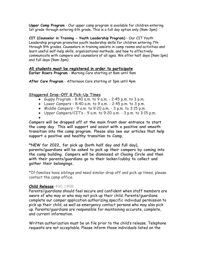**Upper Camp Program** - Our upper camp program is available for children entering 1st grade through entering 6th grade. This is a full day option only (9am-3pm)

**CIT (Counselor in Training - Youth Leadership Program)** - Our CIT Youth Leadership program promotes youth leadership skills for children entering 7th through 9th grades. Counselors in training assists in camp rooms and activities and learn useful self-help skills, organizational methods, and how to effectively communicate with campers and counselors of all ages. We offer half days (9am-1pm) and full days (9am-3pm)

#### **All students must be registered in order to participate Earlier Risers Program** - Morning Care starting at 8am until 9am

**After Care Program** - Afternoon Care starting at 3pm until 4pm

#### **Staggered Drop-Off & Pick-Up Times**

- Guppy Program  $8:40$  a.m. to  $9$  a.m.  $2:45$  p.m. to  $3$  p.m.
- Lower Campers  $8:40$  a.m. to  $9$  a.m.  $2:45$  p.m. to  $3$  p.m.
- Middle Campers 9 a.m. to  $9:20$  a.m.  $-3$  p.m. to  $3:15$  p.m.
- Upper Campers/ $CITs 9$  a.m. to 9:20 a.m.  $-3$  p.m. to 3:15 p.m.
- ●

**Campers will be dropped off at the main front door entrance to start the camp day. This will support and assist with a positive and smooth transition into the camp program. Please also see our articles that help support a positive and healthy transition to Camp.**

**\*NEW for 2022, for pick up (both half day and full day), parents/guardians will be asked to pick up their campers by coming into the camp building. Campers will be dismissed at Closing Circle and then with their parents/guardians go to their locker/cubby to collect and gather their belongings.**

\*If families have siblings and need similar drop off and pick up times, please contact the camp office.

#### **Child Release 430.190B**

Parents/guardians should feel secure and confident when staff members are aware of who may or who may not pick up their child. Parents/guardians complete our camper application authorizing specific individual permission to pick up their child, as well as emergency contact persons who may also pick up. Parents/guardians are responsible for maintaining accurate, complete, and current information.

Written authorization must be on file prior to the child's release. Telephone requests are not acceptable. Please inform those individuals listed on the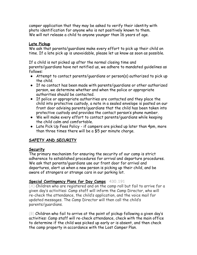camper application that they may be asked to verify their identity with photo identification for anyone who is not positively known to them. We will not release a child to anyone younger than 16 years of age.

# **Late Pickup**

We ask that parents/guardians make every effort to pick up their child on time. If a late pick up is unavoidable, please let us know as soon as possible.

If a child is not picked up after the normal closing time and parents/guardians have not notified us, we adhere to mandated guidelines as follows:

- Attempt to contact parents/guardians or person(s) authorized to pick up the child.
- If no contact has been made with parents/guardians or other authorized person, we determine whether and when the police or appropriate authorities should be contacted.
- If police or appropriate authorities are contacted and they place the child into protective custody, a note in a sealed envelope is posted on our front door advising parents/guardians that the child has been taken into protective custody and provides the contact person's phone number.
- We will make every effort to contact parents/guardians while keeping the child calm and comfortable.
- Late Pick Up Fees Policy if campers are picked up later than 4pm, more than three times there will be a \$5 per minute charge.

# **SAFETY AND SECURITY**

# **Security**

The primary mechanism for ensuring the security of our camp is strict adherence to established procedures for arrival and departure procedures. We ask that parents/guardians use our front door for arrival and departures, alert us when a new person is picking up their child, and be aware of strangers or strange cars in our parking lot.

# **Special Contingency Plans for Day Camps 430.191**

(A) Children who are registered and on the camp roll but fail to arrive for a given day's activities: Camp staff will inform the Camp Director, who will re-check the attendance, the child's application, and the voice mail for updated messages. The Camp Director will then call the child's parents/guardians.

(B) Children who fail to arrive at the point of pickup following a given day's activities: Camp staff will re-check attendance, check with the main office to determine if the child was picked up early or is absent, and then check the camp property in accordance with the Lost Camper Plan.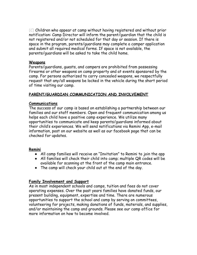(C) Children who appear at camp without having registered and without prior notification: Camp Director will inform the parent/guardian that the child is not registered and/or not scheduled for that day or session. If there is space in the program, parents/guardians may complete a camper application and submit all required medical forms. If space is not available, the parents/guardians will be asked to take the child home.

#### **Weapons**

Parents/guardians, guests, and campers are prohibited from possessing firearms or other weapons on camp property and at events sponsored by the camp. For persons authorized to carry concealed weapons, we respectfully request that any/all weapons be locked in the vehicle during the short period of time visiting our camp.

### **PARENT/GUARDIAN COMMUNICATION AND INVOLVEMENT**

#### **Communications**

The success of our camp is based on establishing a partnership between our families and our staff members. Open and frequent communication among us helps each child have a positive camp experience. We utilize many opportunities to communicate and keep parents/guardians informed about their child's experiences. We will send notifications via Remini App, e-mail information, post on our website as well as our facebook page that can be checked for updates.

#### **Remini**

- All camp families will receive an "Invitation" to Remini to join the app
- All families will check their child into camp; multiple QR codes will be available for scanning at the front of the camp main entrance.
- The camp will check your child out at the end of the day.

#### **Family Involvement and Support**

As in most independent schools and camps, tuition and fees do not cover operating expenses. Over the past years families have donated funds, our present building, equipment, expertise and time. There are numerous opportunities to support the school and camp by serving on committees, volunteering for projects, making donations of funds, materials, and supplies, and/or maintaining the camp and grounds. Please see our camp office for more information on how to become involved.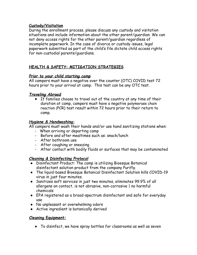# **Custody/Visitation**

During the enrollment process, please discuss any custody and visitation situations and include information about the other parent/guardian. We can not deny access rights for the other parent/guardian regardless of incomplete paperwork. In the case of divorce or custody issues, legal paperwork submitted as part of the child's file dictate child access rights for non-custodial parents/guardians.

# **HEALTH & SAFETY: MITIGATION STRATEGIES**

# *Prior to your child starting camp*

All campers must have a negative over the counter (OTC) COVID test 72 hours prior to your arrival at camp. This test can be any OTC test.

### *Traveling Abroad*

● If families choose to travel out of the country at any time of their duration at camp, campers must have a negative polymerase chain reaction (PCR) test result within 72 hours prior to their return to camp.

### *Hygiene & Handwashing:*

All campers must wash their hands and/or use hand sanitizing stations when:

- When arriving or departing camp
- Before and after mealtimes such as: snack/lunch
- After bathroom use
- After coughing or sneezing
- After contact with bodily fluids or surfaces that may be contaminated

# *Cleaning & Disinfecting Protocol*

- Disinfectant Product: The camp is utilizing Bioesque Botanical disinfectant solution product from the company Purifly.
- The liquid-based Bioesque Botanical Disinfectant Solution kills COVID-19 virus in just four minutes.
- Sanitizes soft services in just two minutes, eliminates 99.9% of all allergens on contact, is not abrasive, non-corrosive | no harmful chemicals
- EPA registered as a broad-spectrum disinfectant and safe for everyday use
- No unpleasant or overwhelming odors
- Active ingredient is botanically derived

#### **Cleaning Equipment:**

● To disinfect, we have spray bottles for classrooms as well as seven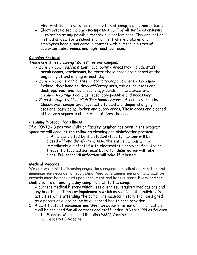Electrostatic sprayers for each section of camp, inside and outside.

● Electrostatic technology encompasses 360° of all surfaces ensuring illumination of any possible coronavirus contaminant. This application method is ideal for a school environment where children and employees handle and come in contact with numerous pieces of equipment, electronics and high touch surfaces.

# **Cleaning Protocol**

There are three cleaning "Zones" for our campus.

- *Zone 1 Low Traffic & Low Touchpoint Areas may include staff* break rooms, stockrooms, hallways; these areas are cleaned at the beginning of and ending of each day
- *Zone 2 High traffic, Intermittent touchpoint areas* Area may include: door handles, drop off/entry area, tables, counters and desktops, rest and nap areas, playgrounds - These areas are cleaned 4 -6 times daily as reasonably possible and necessary
- *Zone 3 High traffic, High Touchpoint Areas* Areas may include: Classrooms, computers, toys, activity centers, diaper changing stations, bathrooms, locker and cubby areas. These areas are cleaned after each separate child/group utilizes the area.

### **Cleaning Protocol for Illness**

If a COVID-19 positive Child or Faculty member has been in the program space we will conduct the following cleaning and disinfection protocol:

a. All areas visited by the student/faculty member will be closed off and disinfected. Also, the entire campus will be immediately disinfected with electrostatic sprayers focusing on frequently touched surfaces but a full disinfection will take place. Full school disinfection will take 15 minutes.

# **Medical Records**

We adhere to state licensing regulations regarding medical examination and immunization records for each child. Medical examination and immunization records must be provided upon enrollment and kept current. Every camper shall prior to attending a day camp, furnish to the camp:

- 1. A current medical history which lists allergies, required medications and any health conditions or impairments which may affect the individual's activities while attending the camp. The medical history shall be signed by a parent or guardian, or by a licensed health care provider.
- 2. A certificate of immunization. Written documentation of immunization shall be required for all campers and staff under 18 Years Old as follows:
	- 1. Measles, Mumps, and Rubella (MMR) Vaccine
	- 2. Hepatitis B Vaccine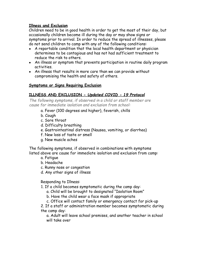## **Illness and Exclusion**

Children need to be in good health in order to get the most of their day, but occasionally children become ill during the day or may show signs or symptoms prior to arrival. In order to reduce the spread of illnesses, please do not send children to camp with any of the following conditions:

- A reportable condition that the local health department or physician determines to be contagious and has not had sufficient treatment to reduce the risk to others.
- An illness or symptom that prevents participation in routine daily program activities.
- An illness that results in more care than we can provide without compromising the health and safety of others.

### **Symptoms or Signs Requiring Exclusion**

# **ILLNESS AND EXCLUSION -** *Updated COVID - 19 Protocol*

*The following symptoms, if observed in a child or staff member are cause for immediate isolation and exclusion from school:*

- a. Fever (100 degrees and higher), feverish, chills
- b. Cough
- c. Sore throat
- d. Difficulty breathing
- e. Gastrointestinal distress (Nausea, vomiting, or diarrhea)
- f. New loss of taste or smell
- g. New muscle aches

The following symptoms, if observed in combinations with symptoms listed above are cause for immediate isolation and exclusion from camp:

- a. Fatigue
- b. Headache
- c. Runny nose or congestion
- d. Any other signs of illness

Responding to Illness:

- 1. If a child becomes symptomatic during the camp day:
	- a. Child will be brought to designated "Isolation Room"
	- b. Have the child wear a face mask if appropriate
	- c. Office will contact family or emergency contact for pick-up

2. If a staff or administration member becomes symptomatic during the camp day:

a. Adult will leave school premises, and another teacher in school will take over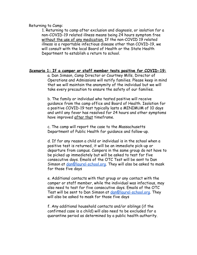Returning to Camp:

1. Returning to camp after exclusion and diagnosis, or isolation for a non-COVID-19 related illness means being 24 hours symptom free without the use of any medication. If the non-COVID 19 related illness is a reportable infectious disease other than COVID-19, we will consult with the local Board of Health or the State Health Department to establish a return to school.

#### **Scenario 1: If a camper or staff member tests positive for COVID-19:**

a. Dan Simson, Camp Director or Courtney Mills, Director of Operations and Admissions will notify families. Please keep in mind that we will maintain the anonymity of the individual but we will take every precaution to ensure the safety of our families.

b. The family or individual who tested positive will receive guidance from the camp office and Board of Health. Isolation for a positive COVID-19 test typically lasts a MINIMUM of 10 days and until any fever has resolved for 24 hours and other symptoms have improved after that timeframe.

c. The camp will report the case to the Massachusetts Department of Public Health for guidance and follow-up.

d. If for any reason a child or individual is in the school when a positive test is returned, it will be an immediate pick-up or departure from campus. Campers in the same group do not have to be picked up immediately but will be asked to test for five consecutive days. Emails of the OTC Test will be sent to Dan Simson at <u>[dan@laurel-school.org](mailto:dan@laurel-school.org)</u>. They will also be asked to mask for those five days

e. Additional contacts with that group or any contact with the camper or staff member, while the individual was infectious, may also need to test for five consecutive days. Emails of the OTC Test will be sent to Dan Simson at [dan@laurel-school.org](mailto:dan@laurel-school.org). They will also be asked to mask for those five days

f. Any additional household contacts and/or siblings (if the confirmed case is a child) will also need to be excluded for a quarantine period as determined by a public health authority.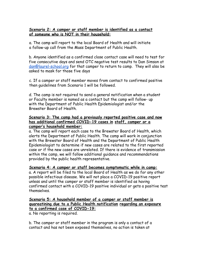#### **Scenario 2: A camper or staff member is identified as a contact of someone who is NOT in their household:**

a. The camp will report to the local Board of Health and will initiate a follow-up call from the Mass Department of Public Health.

b. Anyone identified as a confirmed close contact case will need to test for five consecutive days and send OTC negative test results to Dan Simson at [dan@laurel-school.org](mailto:dan@laurel-school.org) for that camper to return to camp. They will also be asked to mask for those five days

c. If a camper or staff member moves from contact to confirmed positive then guidelines from Scenario 1 will be followed.

d. The camp is not required to send a general notification when a student or Faculty member is named as a contact but the camp will follow- up with the Department of Public Health Epidemiologist and/or the Brewster Board of Health.

#### **Scenario 3: The camp had a previously reported positive case and now has additional confirmed COVID-19 cases in staff, camper or a camper's household member:**

a. The camp will report each case to the Brewster Board of Health, which alerts the Department of Public Health. The camp will work in conjunction with the Brewster Board of Health and the Department of Public Health Epidemiologist to determine if new cases are related to the first reported case or if the new cases are unrelated. If there is evidence of transmission within the camp, we will follow additional guidance and recommendations provided by the public health representative.

#### **Scenario 4: A camper or staff becomes symptomatic while in camp:**

a. A report will be filed to the local Board of Health as we do for any other possible infectious disease. We will not place a COVID-19 positive report unless and until the camper or staff member is identified as having confirmed contact with a COVID-19 positive individual or gets a positive test themselves.

## **Scenario 5: A household member of a camper or staff member is quareatining due to a Public Health notification regarding an exposure to a confirmed case of COVID-19:**

a. No reporting is required.

b. The camper or staff member in the program is only a contact of a contact and has not been exposed themselves, no action is taken at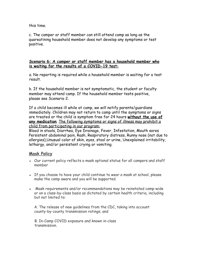this time.

c. The camper or staff member can still attend camp as long as the quareatining household member does not develop any symptoms or test positive.

#### **Scenario 6: A camper or staff member has a household member who is waiting for the results of a COVID-19 test:**

a. No reporting is required while a household member is waiting for a test result.

b. If the household member is not symptomatic, the student or faculty member may attend camp. If the household member tests positive, please see Scenario 2.

If a child becomes ill while at camp, we will notify parents/guardians immediately. Children may not return to camp until the symptoms or signs are treated or the child is symptom free for 24 hours **without the use of any medication**. The following symptoms or signs of illness may prohibit a child from participating in our program:

Blood in stools, Diarrhea, Eye Drainage, Fever, Infestation, Mouth sores Persistent abdominal pain, Rash, Respiratory distress, Runny nose (not due to allergies),Unusual color of skin, eyes, stool or urine, Unexplained irritability, lethargy, and/or persistent crying or vomiting.

# **Mask Policy**

- Our current policy reflects a mask optional status for all campers and staff member
- If you choose to have your child continue to wear a mask at school, please make the camp aware and you will be supported.
- Mask requirements and/or recommendations may be reinstated camp-wide or on a class-by-class basis as dictated by certain health criteria, including but not limited to:

A. The release of new guidelines from the CDC, taking into account county-by-county transmission ratings; and

B. In-Camp COVID exposure and known in-class transmission.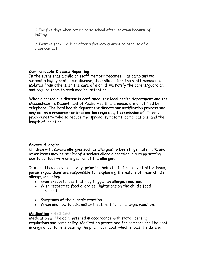C. For five days when returning to school after isolation because of testing

D. Positive for COVID or after a five-day quarantine because of a close contact

### **Communicable Disease Reporting**

In the event that a child or staff member becomes ill at camp and we suspect a highly contagious disease, the child and/or the staff member is isolated from others. In the case of a child, we notify the parent/guardian and require them to seek medical attention.

When a contagious disease is confirmed, the local health department and the Massachusetts Department of Public Health are immediately notified by telephone. The local health department directs our notification process and may act as a resource for information regarding transmission of disease, procedures to take to reduce the spread, symptoms, complications, and the length of isolation.

#### **Severe Allergies**

Children with severe allergies such as allergies to bee stings, nuts, milk, and other items may be at risk of a serious allergic reaction in a camp setting due to contact with or ingestion of the allergen.

If a child has a severe allergy, prior to their child's first day of attendance, parents/guardians are responsible for explaining the nature of their child's allergy, including:

- Events/substances that may trigger an allergic reaction.
- With respect to food allergies: limitations on the child's food consumption.
- Symptoms of the allergic reaction.
- When and how to administer treatment for an allergic reaction.

# **Medication – 430.160**

Medication will be administered in accordance with state licensing regulations and camp policy. Medication prescribed for campers shall be kept in original containers bearing the pharmacy label, which shows the date of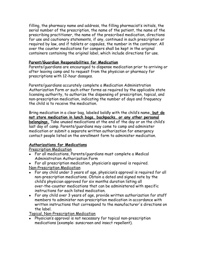filling, the pharmacy name and address, the filling pharmacist's initials, the serial number of the prescription, the name of the patient, the name of the prescribing practitioner, the name of the prescribed medication, directions for use and cautionary statements, if any, continued in such prescription or required by law, and if tablets or capsules, the number in the container. All over the counter medications for campers shall be kept in the original containers containing the original label, which include directions for use.

## **Parent/Guardian Responsibilities for Medication**

Parents/guardians are encouraged to dispense medication prior to arriving or after leaving camp and to request from the physician or pharmacy for prescriptions with 12-hour dosages.

Parents/guardians accurately complete a Medication Administration Authorization Form or such other forms as required by the applicable state licensing authority, to authorize the dispensing of prescription, topical, and non-prescription medication, indicating the number of days and frequency the child is to receive the medication.

Bring medication in a clear bag, labeled boldly with the child's name, **but do not store medication in lunch bags, backpacks, or any other personal belongings.** Take unused medications at the end of the day or on the child's last day of camp. Parents/guardians may come to camp and administer medication or submit a separate written authorization for emergency contact people listed on the enrollment form to administer medication.

# **Authorizations for Medications**

Prescription Medication

- For all medications, Parents/guardians must complete a Medical Administration Authorization Form
- For all prescription medication, physician's approval is required. Non-Prescription Medication
- For any child under 3 years of age, physician's approval is required for all non-prescription medications. Obtain a dated and signed note by the child's physician approved for six months duration listing all over-the-counter medications that can be administered with specific instructions for each listed medication.
- For any child over 3 years of age, provide written authorization for staff members to administer non-prescription medication in accordance with written instructions that correspond to the manufacturer's directions on the label.

Topical, Non-Prescription Medication

● Physician's approval is not necessary for topical non-prescription medications (example: sunscreen and insect repellent).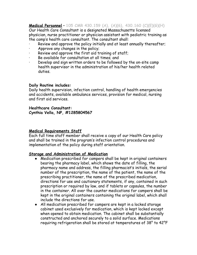# **Medical Personnel** – **105 CMR 430.159 (A), (A)(6), 430.160 (C)(E)(G)(H)**

Our Health Care Consultant is a designated Massachusetts licensed physician, nurse practitioner or physician assistant with pediatric training as the camp's health care consultant. The consultant shall:

- Review and approve the policy initially and at least annually thereafter;
- Approve any changes in the policy;
- Review and approve the first aid training of staff;
- Be available for consultation at all times; and
- Develop and sign written orders to be followed by the on-site camp health supervisor in the administration of his/her health related duties.

#### **Daily Routine includes:**

Daily health supervision, infection control, handling of health emergencies and accidents, available ambulance services, provision for medical, nursing and first aid services.

#### **Healthcare Consultant:**

**Cynthia Vella, NP, #1285804567**

#### **Medical Requirements Staff**

Each full time staff member shall receive a copy of our Health Care policy and shall be trained in the program's infection control procedures and implementation of the policy during staff orientation.

#### **Storage and Administration of Medication**

- Medication prescribed for campers shall be kept in original containers bearing the pharmacy label, which shows the date of filling, the pharmacy name and address, the filling pharmacist's initials, the serial number of the prescription, the name of the patient, the name of the prescribing practitioner, the name of the prescribed medication, directions for use and cautionary statements, if any, contained in such prescription or required by law, and if tablets or capsules, the number in the container. All over the counter medications for campers shall be kept in the original containers containing the original label, which shall include the directions for use.
- All medication prescribed for campers are kept in a locked storage cabinet used exclusively for medication, which is kept locked except when opened to obtain medication. The cabinet shall be substantially constructed and anchored securely to a solid surface. Medications requiring refrigeration shall be stored at temperatures of 38° to 42°F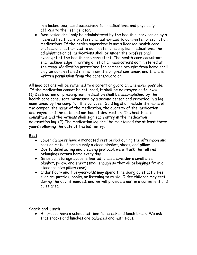in a locked box, used exclusively for medications, and physically affixed to the refrigerator.

● Medication shall only be administered by the health supervisor or by a licensed healthcare professional authorized to administer prescription medications. If the health supervisor is not a licensed health care professional authorized to administer prescription medications, the administration of medications shall be under the professional oversight of the health care consultant. The health care consultant shall acknowledge in writing a list of all medications administered at the camp. Medication prescribed for campers brought from home shall only be administered if it is from the original container, and there is written permission from the parent/guardian.

All medications will be returned to a parent or guardian whenever possible. If the medication cannot be returned, it shall be destroyed as follows: (1) Destruction of prescription medication shall be accomplished by the health care consultant, witnessed by a second person and recorded in a log maintained by the camp for this purpose. Said log shall include the name of the camper, the name of the medication, the quantity of the medication destroyed, and the date and method of destruction. The health care consultant and the witness shall sign each entry in the medication destruction log. (2) The medication log shall be maintained for at least three years following the date of the last entry.

# **Rest**

- Lower Campers have a mandated rest period during the afternoon and rest on mats. Please supply a clean blanket, sheet, and pillow.
- Due to disinfecting and cleaning protocol, we will ask that all rest belongings return home every day.
- Since our storage space is limited, please consider a small size blanket, pillow, and sheet (small enough so that all belongings fit in a standard size pillow case).
- Older Four- and five-year-olds may spend time doing quiet activities such as: puzzles, books, or listening to music. Older children may rest during the day, if needed, and we will provide a mat in a convenient and quiet area.

# **Snack and Lunch**

● All groups have a scheduled time for snack and lunch break. We ask that snacks and lunches are balanced and nutritious.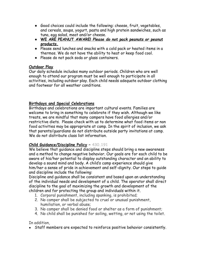- Good choices could include the following: cheese, fruit, vegetables, and cereals, soups, yogurt, pasta and high protein sandwiches, such as tuna, egg salad, meat and/or cheese.
- **WE ARE PEANUT AWARE!** *Please do not pack peanuts or peanut products.*
- Please send lunches and snacks with a cold pack or heated items in a thermos. We do not have the ability to heat or keep food cool.
- Please do not pack soda or glass containers.

# **Outdoor Play**

Our daily schedule includes many outdoor periods. Children who are well enough to attend our program must be well enough to participate in all activities, including outdoor play. Each child needs adequate outdoor clothing and footwear for all weather conditions.

# **Birthdays and Special Celebrations**

Birthdays and celebrations are important cultural events. Families are welcome to bring in something to celebrate if they wish. Although we like treats, we are mindful that many campers have food allergies and/or restrictive diets. Please check with us to determine what food items or non food activities may be appropriate at camp. In the spirit of inclusion, we ask that parents/guardians do not distribute outside party invitations at camp. We do not distribute class list information.

# **Child Guidance/Discipline Policy – 430.191**

We believe that quidance and discipline steps should bring a new awareness and a method to change negative behavior. Our goals are for each child to be aware of his/her potential to display outstanding character and an ability to develop a sound mind and body. A child's camp experience should give him/her a sense of pride in achievement and self-dignity. Our steps to guide and discipline include the following:

Discipline and guidance shall be consistent and based upon an understanding of the individual needs and development of a child. The operator shall direct discipline to the goal of maximizing the growth and development of the children and for protecting the group and individuals within it.

- 1. Corporal punishment, including spanking, is prohibited;
- 2. No camper shall be subjected to cruel or unusual punishment, humiliation, or verbal abuse;
- 3. No camper shall be denied food or shelter as a form of punishment;
- 4. No child shall be punished for soiling, wetting, or not using the toilet.

In addition,

● Staff members are expected to reinforce positive behavior consistently.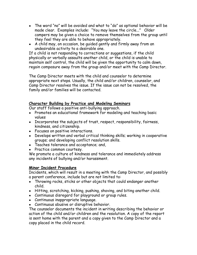- The word "no" will be avoided and what to "do" as optional behavior will be made clear. Examples include: "You may leave the circle..." Older campers may be given a choice to remove themselves from the group until they feel they are able to behave appropriately.
- A child may, on occasion, be quided gently and firmly away from an undesirable activity to a desirable one.

If a child is not responding to corrections or suggestions, if the child physically or verbally assaults another child, or the child is unable to maintain self control, the child will be given the opportunity to calm down, regain composure away from the group and/or meet with the Camp Director.

The Camp Director meets with the child and counselor to determine appropriate next steps. Usually, the child and/or children, counselor, and Camp Director resolves the issue. If the issue can not be resolved, the family and/or families will be contacted.

### **Character Building by Practice and Modeling Seminars**

Our staff follows a positive anti-bullying approach.

- Promotes an educational framework for modeling and teaching basic values
- Incorporates the subjects of trust, respect, responsibility, fairness, kindness, and citizenship.
- Focuses on positive interactions.
- Develops written and verbal critical thinking skills; working in cooperative groups; and developing conflict resolution skills.
- Teaches tolerance and acceptance; and,
- Practice common courtesy.

We promote a culture of kindness and tolerance and immediately address any incidents of bullying and/or harassment.

# **Minor Incident Procedure**

Incidents, which will result in a meeting with the Camp Director, and possibly a parent conference, include but are not limited to:

- Throwing rocks, sticks or other objects that could endanger another child.
- Hitting, scratching, kicking, pushing, shoving, and biting another child.
- Continuous disregard for playground or group rules.
- Continuous inappropriate language.
- Continuous abusive or disruptive behavior.

The counselor documents the incident in writing describing the behavior or action of the child and/or children and the resolution. A copy of the report is sent home with the parent and a copy given to the Camp Director and a copy placed in the child record.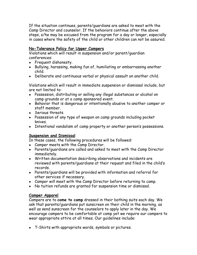If the situation continues, parents/guardians are asked to meet with the Camp Director and counselor. If the behaviors continue after the above steps, s/he may be excused from the program for a day or longer, especially in cases where the safety of the child or other children can not be assured.

# **No-Tolerance Policy for Upper Campers**

Violations which will result in suspension and/or parent/guardian conferences:

- Frequent dishonesty.
- Bullying, harassing, making fun of, humiliating or embarrassing another child.
- Deliberate and continuous verbal or physical assault on another child.

Violations which will result in immediate suspension or dismissal include, but are not limited to:

- Possession, distributing or selling any illegal substances or alcohol on camp grounds or at a camp sponsored event.
- Behavior that is dangerous or intentionally abusive to another camper or staff member.
- Serious threats.
- Possession of any type of weapon on camp grounds including pocket knives.
- Intentional vandalism of camp property or another person's possessions.

# **Suspension and Dismissal**

In these cases, the following procedures will be followed:

- Camper meets with the Camp Director.
- Parents/quardians are called and asked to meet with the Camp Director immediately.
- Written documentation describing observations and incidents are reviewed with parents/guardians at their request and filed in the child's records.
- Parents/quardians will be provided with information and referral for other services if necessary.
- Camper will meet with the Camp Director before returning to camp.
- No tuition refunds are granted for suspension time or dismissal.

# **Camper Apparel**

Campers are to **come to camp** dressed in their bathing suits each day. We ask that parents/guardians put sunscreen on their child in the morning, as well as send sunscreen for the counselors to apply later in the day. We encourage campers to be comfortable at camp yet we require our campers to wear appropriate attire at all times. Our guidelines include:

● T-Shirts with appropriate words, symbols or pictures.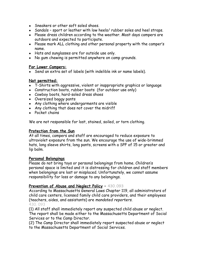- Sneakers or other soft soled shoes.
- Sandals sport or leather with low heels/ rubber soles and heel straps.
- Please dress children according to the weather. Most days campers are outdoors and expected to participate.
- Please mark ALL clothing and other personal property with the camper's name.
- Hats and sunglasses are for outside use only.
- No gum chewing is permitted anywhere on camp grounds.

### **For Lower Campers:**

• Send an extra set of labels (with indelible ink or name labels).

### **Not permitted:**

- T-Shirts with aggressive, violent or inappropriate graphics or language
- Construction boots, rubber boots (for outdoor use only)
- Cowboy boots, hard-soled dress shoes
- Oversized baggy pants
- Any clothing where undergarments are visible
- Any clothing that does not cover the midriff
- Pocket chains

We are not responsible for lost, stained, soiled, or torn clothing.

# **Protection from the Sun**

At all times, campers and staff are encouraged to reduce exposure to ultraviolet exposure from the sun. We encourage the use of wide-brimmed hats, long sleeve shirts, long pants, screens with a SPF of 15 or greater and lip balm.

# **Personal Belongings**

Please do not bring toys or personal belongings from home. Children's personal space is limited and it is distressing for children and staff members when belongings are lost or misplaced. Unfortunately, we cannot assume responsibility for loss or damage to any belongings.

# **Prevention of Abuse and Neglect Policy – 430.093**

According to Massachusetts General Laws Chapter 119, all administrators of child care centers, licensed family child care providers, and their employees (teachers, aides, and assistants) are *mandated reporters.* 430. 093

(1) All staff shall immediately report any suspected child abuse or neglect. The report shall be made either to the Massachusetts Department of Social Services or to the Camp Director.

(2) The Camp Director shall immediately report suspected abuse or neglect to the Massachusetts Department of Social Services.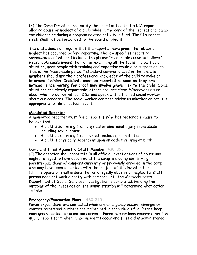(3) The Camp Director shall notify the board of health if a 51A report alleging abuse or neglect of a child while in the care of the recreational camp for children or during a program related activity is filed. The 51A report itself shall not be forwarded to the Board of Health.

The state does not require that the reporter have proof that abuse or neglect has occurred before reporting. The law specifies reporting *suspected* incidents and includes the phrase "reasonable cause to believe." *Reasonable cause* means that, after examining all the facts in a particular situation, most people with training and expertise would also suspect abuse. This is the "reasonable person" standard commonly used in the law: staff members should use their professional knowledge of the child to make an informed decision. **Incidents must be reported as soon as they are noticed, since waiting for proof may involve grave risk to the child.** Some situations are clearly reportable; others are less clear. Whenever unsure about what to do, we will call DSS and speak with a trained social worker about our concerns. The social worker can then advise us whether or not it is appropriate to file an actual report.

### **Mandated Reporter**

A mandated reporter **must** file a report if s/he has reasonable cause to believe that:

- A child is suffering from physical or emotional injury from abuse, including sexual abuse
- A child is suffering from neglect, including malnutrition
- A child is physically dependent upon an addictive drug at birth

# **Complaint Filed Against a Staff Member** 430. 093

(C) The operator shall cooperate in all official investigations of abuse and neglect alleged to have occurred at the camp, including identifying parents/guardians of campers currently or previously enrolled in the camp who may have been in contact with the subject of the investigation. (D) The operator shall ensure that an allegedly abusive or neglectful staff person does not work directly with campers until the Massachusetts Department of Social Services investigation is completed. Pending the outcome of the investigation, the administration will determine what action to take.

# **Emergency/Evacuation Plans – 430.210**

Parents/guardians are contacted when any emergency occurs. Emergency contact names and numbers are maintained in each child's file. Please keep emergency contact information current. Parents/guardians receive a written injury report form when minor incidents occur and first aid is administered.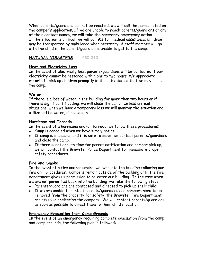When parents/guardians can not be reached, we will call the names listed on the camper's application. If we are unable to reach parents/guardians or any of their contact names, we will take the necessary emergency action. If the situation is critical, we will call 911 for medical assistance. Children may be transported by ambulance when necessary. A staff member will go with the child if the parent/guardian is unable to get to the camp.

# **NATURAL DISASTERS - 430.210**

#### **Heat and Electricity Loss**

In the event of electricity loss, parents/guardians will be contacted if our electricity cannot be restored within one to two hours. We appreciate efforts to pick up children promptly in this situation so that we may close the camp.

### **Water**

If there is a loss of water in the building for more than two hours or if there is significant flooding, we will close the camp. In less critical situations, when we have a temporary loss we will monitor the situation and utilize bottle water, if necessary.

#### **Hurricane and Tornado**

In the event of a hurricane and/or tornado, we follow these procedures:

- Camp is canceled when we have timely notice.
- If camp is in session and it is safe to leave, we contact parents/quardians and close the camp.
- If there is not enough time for parent notification and camper pick up, we will contact the Brewster Police Department for immediate proper safety procedures.

#### **Fire and Smoke**

In the event of a fire and/or smoke, we evacuate the building following our fire drill procedures. Campers remain outside of the building until the fire department gives us permission to re-enter our building. In the case when we are not permitted back into the building, we take the following steps:

- Parents/guardians are contacted and directed to pick up their child.
- If we are unable to contact parents/quardians and campers need to be removed from the property for safety, the Brewster Fire Department assists us in sheltering the campers. We will contact parents/guardians as soon as possible to direct them to their child's location.

#### **Emergency Evacuation from Camp Grounds**

In the event of an emergency requiring complete evacuation from the camp and camp grounds, the following plan is followed: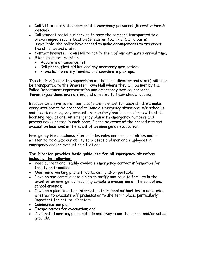- Call 911 to notify the appropriate emergency personnel (Brewster Fire & Rescue).
- Call student rental bus service to have the campers transported to a pre-arranged secure location (Brewster Town Hall). If a bus is unavailable, the police have agreed to make arrangements to transport the children and staff.
- Contact Brewster Town Hall to notify them of our estimated arrival time.
- Staff members maintain:
	- Accurate attendance list.
	- Cell phone, first aid kit, and any necessary medications.
	- Phone list to notify families and coordinate pick-ups.

The children (under the supervision of the camp director and staff) will then be transported to the Brewster Town Hall where they will be met by the Police Department representation and emergency medical personnel. Parents/guardians are notified and directed to their child's location.

Because we strive to maintain a safe environment for each child, we make every attempt to be prepared to handle emergency situations. We schedule and practice emergency evacuations regularly and in accordance with state licensing regulations. An emergency plan with emergency numbers and procedures is posted in each room. Please be aware of the procedures and evacuation locations in the event of an emergency evacuation.

**Emergency Preparedness Plan i**ncludes roles and responsibilities and is written to maximize our ability to protect children and employees in emergency and/or evacuation situations.

### **The Director provides basic guidelines for all emergency situations including the following:**

- Keep current and readily available emergency contact information for faculty and families;
- Maintain a working phone (mobile, cell, and/or portable)
- Develop and communicate a plan to notify and reunite families in the event of an emergency requiring complete evacuation of the school and school grounds;
- Develop a plan to obtain information from local authorities to determine whether to evacuate off premises or to shelter in place, particularly important for natural disasters.
- Communication plan;
- Escape routes for evacuation; and
- Designated meeting place outside and away from the school and/or school grounds.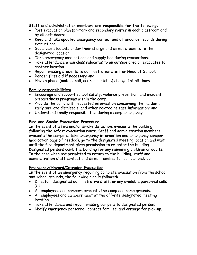## **Staff and administration members are responsible for the following:**

- Post evacuation plan (primary and secondary routes in each classroom and by all exit doors;
- Keep and take updated emergency contact and attendance records during evacuations;
- Supervise students under their charge and direct students to the designated location;
- Take emergency medications and supply bag during evacuations;
- Take attendance when class relocates to an outside area or evacuates to another location.
- Report missing students to administration staff or Head of School;
- Render first aid if necessary and
- Have a phone (mobile, cell, and/or portable) charged at all times.

# **Family responsibilities:**

- Encourage and support school safety, violence prevention, and incident preparedness programs within the camp.
- Provide the camp with requested information concerning the incident, early and late dismissals, and other related release information; and,
- Understand family responsibilities during a camp emergency

### **Fire and Smoke Evacuation Procedure**

In the event of a fire and/or smoke detection, evacuate the building following the safest evacuation route. Staff and administration members evacuate the campers; take emergency information and emergency camper medication bags (if needed), go to the designated meeting location and wait until the fire department gives permission to re-enter the building. Designated persons comb the building for any remaining children or adults. In the case when not permitted to return to the building, staff and administration staff contact and direct families for camper pick-up.

# **Emergency/Hazard/Intruder Evacuation**

In the event of an emergency requiring complete evacuation from the school and school grounds, the following plan is followed:

- Director, designated administrative staff, or any available personnel calls 911;
- All employees and campers evacuate the camp and camp grounds;
- All employees and campers meet at the off-site designated meeting location;
- Take attendance and report missing campers to designated person;
- Notify emergency personnel, contact families, and arrange for pick-up.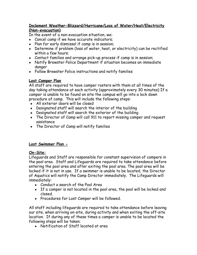# **Inclement Weather-Blizzard/Hurricane/Loss of Water/Heat/Electricity (Non-evacuation)**

In the event of a non-evacuation situation, we:

- Cancel camp if we have accurate indicators;
- Plan for early dismissal if camp is in session;
- Determine if problem (loss of water, heat, or electricity) can be rectified within a few hours;
- Contact families and arrange pick-up process if camp is in session;
- Notify Brewster Police Department if situation becomes an immediate danger
- Follow Brewster Police instructions and notify families

# **Lost Camper Plan**

All staff are required to have camper rosters with them at all times of the day taking attendance at each activity (approximately every 30 minutes) If a camper is unable to be found on site the campus will go into a lock down procedure of camp. This will include the following steps:

- All exterior doors will be closed
- Designated staff will search the interior of the building
- Designated staff will search the exterior of the building
- The Director of Camp will call 911 to report missing camper and request assistance
- The Director of Camp will notify families

# **Lost Swimmer Plan -**

# **On-Site:**

Lifeguards and Staff are responsible for constant supervision of campers in the pool area. Staff and Lifeguards are required to take attendance before entering the pool area and after exiting the pool area. The pool area will be locked if it is not in use. If a swimmer is unable to be located, the Director of Aquatics will notify the Camp Director immediately. The Lifeguards will immediately:

- Conduct a search of the Pool Area
- If a camper is not located in the pool area, the pool will be locked and closed.
- Procedures for Lost Camper will be followed.

All staff including lifeguards are required to take attendance before leaving our site, when arriving on-site, during activity and when exiting the off-site location. If during any of these times a camper is unable to be located the following steps will be taken:

● Notification of Staff located at area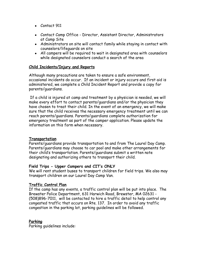- Contact 911
- Contact Camp Office Director, Assistant Director, Administrators at Camp Site
- Administrators on site will contact family while staying in contact with counselors/lifeguards on site
- All campers will be required to wait in designated area with counselors while designated counselors conduct a search of the area

#### **Child Incidents/Injury and Reports**

Although many precautions are taken to ensure a safe environment, occasional incidents do occur. If an incident or injury occurs and first aid is administered, we complete a Child Incident Report and provide a copy for parents/guardians.

If a child is injured at camp and treatment by a physician is needed, we will make every effort to contact parents/guardians and/or the physician they have chosen to treat their child. In the event of an emergency, we will make sure that the child receives the necessary emergency treatment until we can reach parents/guardians. Parents/guardians complete authorization for emergency treatment as part of the camper application. Please update the information on this form when necessary.

#### **Transportation**

Parents/guardians provide transportation to and from The Laurel Day Camp. Parents/guardians may choose to car pool and make other arrangements for their child's transportation. Parents/guardians submit a written note designating and authorizing others to transport their child.

#### **Field Trips - Upper Campers and CIT's ONLY**

We will rent student buses to transport children for field trips. We also may transport children on our Laurel Day Camp Van.

#### **Traffic Control Plan**

If the camp has any events, a traffic control plan will be put into place. The Brewster Police Department, 631 Harwich Road, Brewster, MA 02631 - (508)896-7011, will be contacted to hire a traffic detail to help control any congested traffic that occurs on Rte. 137. In order to avoid any traffic congestion in the parking lot, parking guidelines will be followed.

#### **Parking**

Parking guidelines include: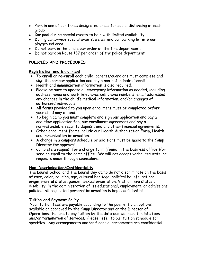- Park in one of our three designated areas for social distancing of each group
- Car pool during special events to help with limited availability.
- During camp-wide special events, we extend our parking lot into our playground area.
- Do not park in the circle per order of the fire department.
- Do not park on Route 137 per order of the police department.

# **POLICIES AND PROCEDURES**

### **Registration and Enrollment**

- To enroll or re-enroll each child, parents/guardians must complete and sign the camper application and pay a non-refundable deposit.
- Health and immunization information is also required.
- Please be sure to update all emergency information as needed, including address, home and work telephone, cell phone numbers, email addresses, any changes in the child's medical information, and/or changes of authorized individuals.
- All forms provided to you upon enrollment must be completed before your child may attend.
- To begin camp you must complete and sign our application and pay a one-time application fee, our enrollment agreement and pay a non-refundable security deposit, and any other financial agreements.
- Other enrollment forms include our Health Authorization Form, Health and immunization information.
- A change in a campers schedule or additions must be made to the Camp Director for approval.
- Complete a request for a change form (found in the business office.)/or send an email to the camp office. We will not accept verbal requests, or requests made through counselors.

# **Non-Discrimination/Confidentiality**

The Laurel School and The Laurel Day Camp do not discriminate on the basis of race, color, religion, age, cultural heritage, political beliefs, national origin, marital status, gender, sexual orientation, Vietnam Era status or disability, in the administration of its educational, employment, or admissions policies. All requested personal information is kept confidential.

# **Tuition and Payment Policy**

 Your tuition fees are payable according to the payment plan options available or approved by the Camp Director and or the Director of Operations. Failure to pay tuition by the date due will result in late fees and/or termination of services. Please refer to our tuition schedule for specifics. Any arrangements and/or financial agreements are confidential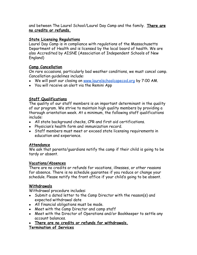and between The Laurel School/Laurel Day Camp and the family. **There are no credits or refunds.**

# **State Licensing Regulations**

Laurel Day Camp is in compliance with regulations of the Massachusetts Department of Health and is licensed by the local board of health. We are also Accredited by AISNE (Association of Independent Schools of New England)

# **Camp Cancellation**

On rare occasions, particularly bad weather conditions, we must cancel camp. Cancellation guidelines include:

- We will post our closing on [www.laurelschoolcapecod.org](http://www.laurel-school.org) by 7:00 AM.
- You will receive an alert via the Remini App

# **Staff Qualifications**

The quality of our staff members is an important determinant in the quality of our program. We strive to maintain high quality members by providing a thorough orientation week. At a minimum, the following staff qualifications include:

- All state background checks, CPR and first aid certifications.
- Physician's health form and immunization record.
- Staff members must meet or exceed state licensing requirements in education and experience.

# **Attendance**

We ask that parents/guardians notify the camp if their child is going to be tardy or absent.

# **Vacations/Absences**

There are no credits or refunds for vacations, illnesses, or other reasons for absence. There is no schedule guarantee if you reduce or change your schedule. Please notify the front office if your child's going to be absent.

# **Withdrawals**

Withdrawal procedure includes:

- Submit a dated letter to the Camp Director with the reason(s) and expected withdrawal date
- All financial obligations must be made.
- Meet with the Camp Director and camp staff
- Meet with the Director of Operations and/or Bookkeeper to settle any account balances.
- **● There are no credits or refunds for withdrawals.**

# **Termination of Services**